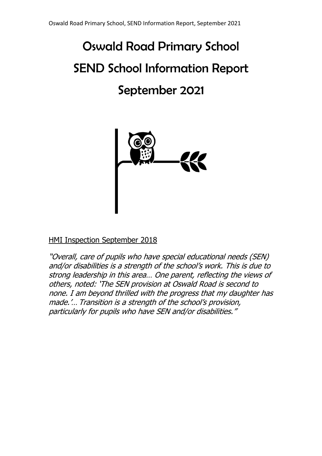# Oswald Road Primary School SEND School Information Report September 2021



# HMI Inspection September 2018

"Overall, care of pupils who have special educational needs (SEN) and/or disabilities is a strength of the school's work. This is due to strong leadership in this area… One parent, reflecting the views of others, noted: 'The SEN provision at Oswald Road is second to none. I am beyond thrilled with the progress that my daughter has made.'… Transition is a strength of the school's provision, particularly for pupils who have SEN and/or disabilities."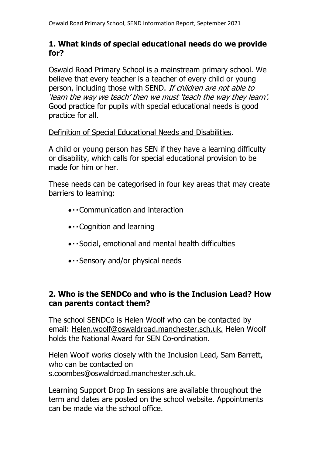# **1. What kinds of special educational needs do we provide for?**

Oswald Road Primary School is a mainstream primary school. We believe that every teacher is a teacher of every child or young person, including those with SEND. If children are not able to 'learn the way we teach' then we must 'teach the way they learn'. Good practice for pupils with special educational needs is good practice for all.

# Definition of Special Educational Needs and Disabilities.

A child or young person has SEN if they have a learning difficulty or disability, which calls for special educational provision to be made for him or her.

These needs can be categorised in four key areas that may create barriers to learning:

- Communication and interaction
- Cognition and learning
- Social, emotional and mental health difficulties
- · Sensory and/or physical needs

# **2. Who is the SENDCo and who is the Inclusion Lead? How can parents contact them?**

The school SENDCo is Helen Woolf who can be contacted by email: [Helen.woolf@oswaldroad.manchester.sch.uk.](mailto:Helen.woolf@oswaldroad.manchester.sch.uk) Helen Woolf holds the National Award for SEN Co-ordination.

Helen Woolf works closely with the Inclusion Lead, Sam Barrett, who can be contacted on [s.coombes@oswaldroad.manchester.sch.uk.](mailto:s.coombes@oswaldroad.manchester.sch.uk)

Learning Support Drop In sessions are available throughout the term and dates are posted on the school website. Appointments can be made via the school office.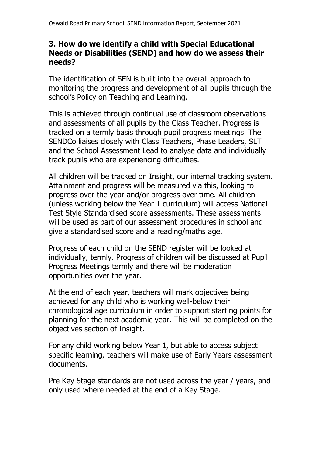# **3. How do we identify a child with Special Educational Needs or Disabilities (SEND) and how do we assess their needs?**

The identification of SEN is built into the overall approach to monitoring the progress and development of all pupils through the school's Policy on Teaching and Learning.

This is achieved through continual use of classroom observations and assessments of all pupils by the Class Teacher. Progress is tracked on a termly basis through pupil progress meetings. The SENDCo liaises closely with Class Teachers, Phase Leaders, SLT and the School Assessment Lead to analyse data and individually track pupils who are experiencing difficulties.

All children will be tracked on Insight, our internal tracking system. Attainment and progress will be measured via this, looking to progress over the year and/or progress over time. All children (unless working below the Year 1 curriculum) will access National Test Style Standardised score assessments. These assessments will be used as part of our assessment procedures in school and give a standardised score and a reading/maths age.

Progress of each child on the SEND register will be looked at individually, termly. Progress of children will be discussed at Pupil Progress Meetings termly and there will be moderation opportunities over the year.

At the end of each year, teachers will mark objectives being achieved for any child who is working well-below their chronological age curriculum in order to support starting points for planning for the next academic year. This will be completed on the objectives section of Insight.

For any child working below Year 1, but able to access subject specific learning, teachers will make use of Early Years assessment documents.

Pre Key Stage standards are not used across the year / years, and only used where needed at the end of a Key Stage.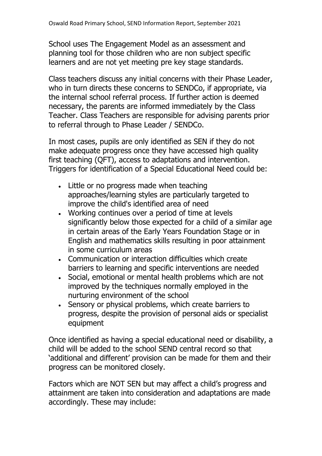School uses The Engagement Model as an assessment and planning tool for those children who are non subject specific learners and are not yet meeting pre key stage standards.

Class teachers discuss any initial concerns with their Phase Leader, who in turn directs these concerns to SENDCo, if appropriate, via the internal school referral process. If further action is deemed necessary, the parents are informed immediately by the Class Teacher. Class Teachers are responsible for advising parents prior to referral through to Phase Leader / SENDCo.

In most cases, pupils are only identified as SEN if they do not make adequate progress once they have accessed high quality first teaching (QFT), access to adaptations and intervention. Triggers for identification of a Special Educational Need could be:

- Little or no progress made when teaching approaches/learning styles are particularly targeted to improve the child's identified area of need
- Working continues over a period of time at levels significantly below those expected for a child of a similar age in certain areas of the Early Years Foundation Stage or in English and mathematics skills resulting in poor attainment in some curriculum areas
- Communication or interaction difficulties which create barriers to learning and specific interventions are needed
- Social, emotional or mental health problems which are not improved by the techniques normally employed in the nurturing environment of the school
- Sensory or physical problems, which create barriers to progress, despite the provision of personal aids or specialist equipment

Once identified as having a special educational need or disability, a child will be added to the school SEND central record so that 'additional and different' provision can be made for them and their progress can be monitored closely.

Factors which are NOT SEN but may affect a child's progress and attainment are taken into consideration and adaptations are made accordingly. These may include: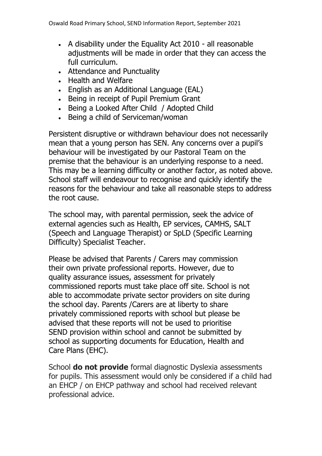- A disability under the Equality Act 2010 all reasonable adjustments will be made in order that they can access the full curriculum.
- Attendance and Punctuality
- Health and Welfare
- English as an Additional Language (EAL)
- Being in receipt of Pupil Premium Grant
- Being a Looked After Child / Adopted Child
- Being a child of Serviceman/woman

Persistent disruptive or withdrawn behaviour does not necessarily mean that a young person has SEN. Any concerns over a pupil's behaviour will be investigated by our Pastoral Team on the premise that the behaviour is an underlying response to a need. This may be a learning difficulty or another factor, as noted above. School staff will endeavour to recognise and quickly identify the reasons for the behaviour and take all reasonable steps to address the root cause.

The school may, with parental permission, seek the advice of external agencies such as Health, EP services, CAMHS, SALT (Speech and Language Therapist) or SpLD (Specific Learning Difficulty) Specialist Teacher.

Please be advised that Parents / Carers may commission their own private professional reports. However, due to quality assurance issues, assessment for privately commissioned reports must take place off site. School is not able to accommodate private sector providers on site during the school day. Parents /Carers are at liberty to share privately commissioned reports with school but please be advised that these reports will not be used to prioritise SEND provision within school and cannot be submitted by school as supporting documents for Education, Health and Care Plans (EHC).

School **do not provide** formal diagnostic Dyslexia assessments for pupils. This assessment would only be considered if a child had an EHCP / on EHCP pathway and school had received relevant professional advice.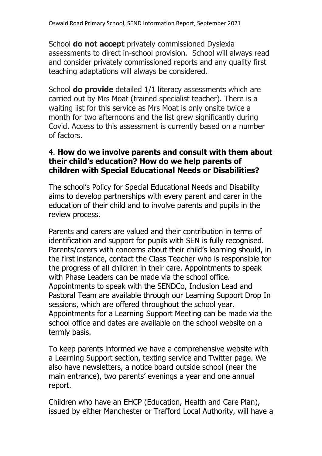School **do not accept** privately commissioned Dyslexia assessments to direct in-school provision. School will always read and consider privately commissioned reports and any quality first teaching adaptations will always be considered.

School **do provide** detailed 1/1 literacy assessments which are carried out by Mrs Moat (trained specialist teacher). There is a waiting list for this service as Mrs Moat is only onsite twice a month for two afternoons and the list grew significantly during Covid. Access to this assessment is currently based on a number of factors.

# 4. **How do we involve parents and consult with them about their child's education? How do we help parents of children with Special Educational Needs or Disabilities?**

The school's Policy for Special Educational Needs and Disability aims to develop partnerships with every parent and carer in the education of their child and to involve parents and pupils in the review process.

Parents and carers are valued and their contribution in terms of identification and support for pupils with SEN is fully recognised. Parents/carers with concerns about their child's learning should, in the first instance, contact the Class Teacher who is responsible for the progress of all children in their care. Appointments to speak with Phase Leaders can be made via the school office. Appointments to speak with the SENDCo, Inclusion Lead and Pastoral Team are available through our Learning Support Drop In sessions, which are offered throughout the school year. Appointments for a Learning Support Meeting can be made via the school office and dates are available on the school website on a termly basis.

To keep parents informed we have a comprehensive website with a Learning Support section, texting service and Twitter page. We also have newsletters, a notice board outside school (near the main entrance), two parents' evenings a year and one annual report.

Children who have an EHCP (Education, Health and Care Plan), issued by either Manchester or Trafford Local Authority, will have a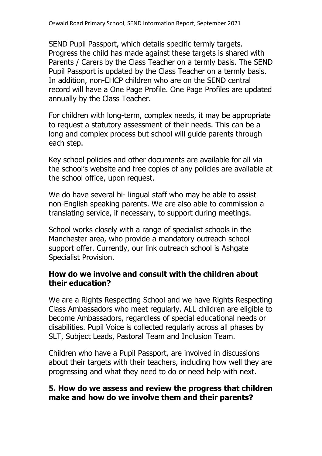SEND Pupil Passport, which details specific termly targets. Progress the child has made against these targets is shared with Parents / Carers by the Class Teacher on a termly basis. The SEND Pupil Passport is updated by the Class Teacher on a termly basis. In addition, non-EHCP children who are on the SEND central record will have a One Page Profile. One Page Profiles are updated annually by the Class Teacher.

For children with long-term, complex needs, it may be appropriate to request a statutory assessment of their needs. This can be a long and complex process but school will guide parents through each step.

Key school policies and other documents are available for all via the school's website and free copies of any policies are available at the school office, upon request.

We do have several bi- lingual staff who may be able to assist non-English speaking parents. We are also able to commission a translating service, if necessary, to support during meetings.

School works closely with a range of specialist schools in the Manchester area, who provide a mandatory outreach school support offer. Currently, our link outreach school is Ashgate Specialist Provision.

# **How do we involve and consult with the children about their education?**

We are a Rights Respecting School and we have Rights Respecting Class Ambassadors who meet regularly. ALL children are eligible to become Ambassadors, regardless of special educational needs or disabilities. Pupil Voice is collected regularly across all phases by SLT, Subject Leads, Pastoral Team and Inclusion Team.

Children who have a Pupil Passport, are involved in discussions about their targets with their teachers, including how well they are progressing and what they need to do or need help with next.

# **5. How do we assess and review the progress that children make and how do we involve them and their parents?**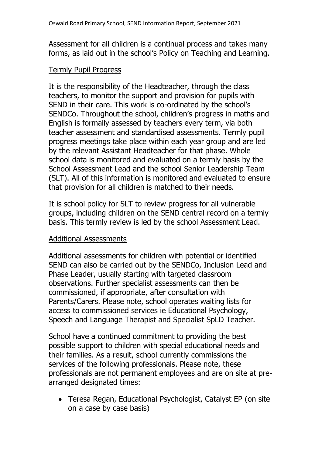Assessment for all children is a continual process and takes many forms, as laid out in the school's Policy on Teaching and Learning.

#### Termly Pupil Progress

It is the responsibility of the Headteacher, through the class teachers, to monitor the support and provision for pupils with SEND in their care. This work is co-ordinated by the school's SENDCo. Throughout the school, children's progress in maths and English is formally assessed by teachers every term, via both teacher assessment and standardised assessments. Termly pupil progress meetings take place within each year group and are led by the relevant Assistant Headteacher for that phase. Whole school data is monitored and evaluated on a termly basis by the School Assessment Lead and the school Senior Leadership Team (SLT). All of this information is monitored and evaluated to ensure that provision for all children is matched to their needs.

It is school policy for SLT to review progress for all vulnerable groups, including children on the SEND central record on a termly basis. This termly review is led by the school Assessment Lead.

#### Additional Assessments

Additional assessments for children with potential or identified SEND can also be carried out by the SENDCo, Inclusion Lead and Phase Leader, usually starting with targeted classroom observations. Further specialist assessments can then be commissioned, if appropriate, after consultation with Parents/Carers. Please note, school operates waiting lists for access to commissioned services ie Educational Psychology, Speech and Language Therapist and Specialist SpLD Teacher.

School have a continued commitment to providing the best possible support to children with special educational needs and their families. As a result, school currently commissions the services of the following professionals. Please note, these professionals are not permanent employees and are on site at prearranged designated times:

• Teresa Regan, Educational Psychologist, Catalyst EP (on site on a case by case basis)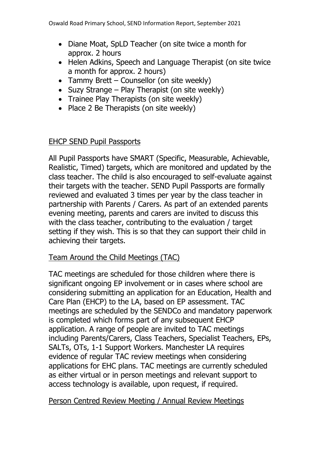- Diane Moat, SpLD Teacher (on site twice a month for approx. 2 hours
- Helen Adkins, Speech and Language Therapist (on site twice a month for approx. 2 hours)
- Tammy Brett Counsellor (on site weekly)
- Suzy Strange Play Therapist (on site weekly)
- Trainee Play Therapists (on site weekly)
- Place 2 Be Therapists (on site weekly)

# EHCP SEND Pupil Passports

All Pupil Passports have SMART (Specific, Measurable, Achievable, Realistic, Timed) targets, which are monitored and updated by the class teacher. The child is also encouraged to self-evaluate against their targets with the teacher. SEND Pupil Passports are formally reviewed and evaluated 3 times per year by the class teacher in partnership with Parents / Carers. As part of an extended parents evening meeting, parents and carers are invited to discuss this with the class teacher, contributing to the evaluation / target setting if they wish. This is so that they can support their child in achieving their targets.

#### Team Around the Child Meetings (TAC)

TAC meetings are scheduled for those children where there is significant ongoing EP involvement or in cases where school are considering submitting an application for an Education, Health and Care Plan (EHCP) to the LA, based on EP assessment. TAC meetings are scheduled by the SENDCo and mandatory paperwork is completed which forms part of any subsequent EHCP application. A range of people are invited to TAC meetings including Parents/Carers, Class Teachers, Specialist Teachers, EPs, SALTs, OTs, 1-1 Support Workers. Manchester LA requires evidence of regular TAC review meetings when considering applications for EHC plans. TAC meetings are currently scheduled as either virtual or in person meetings and relevant support to access technology is available, upon request, if required.

#### Person Centred Review Meeting / Annual Review Meetings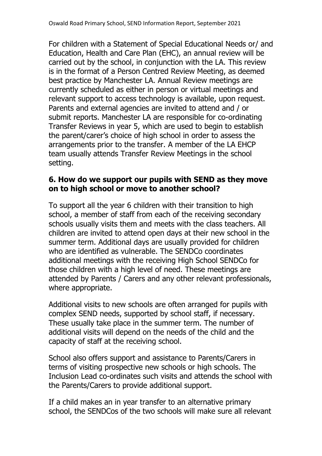For children with a Statement of Special Educational Needs or/ and Education, Health and Care Plan (EHC), an annual review will be carried out by the school, in conjunction with the LA. This review is in the format of a Person Centred Review Meeting, as deemed best practice by Manchester LA. Annual Review meetings are currently scheduled as either in person or virtual meetings and relevant support to access technology is available, upon request. Parents and external agencies are invited to attend and / or submit reports. Manchester LA are responsible for co-ordinating Transfer Reviews in year 5, which are used to begin to establish the parent/carer's choice of high school in order to assess the arrangements prior to the transfer. A member of the LA EHCP team usually attends Transfer Review Meetings in the school setting.

# **6. How do we support our pupils with SEND as they move on to high school or move to another school?**

To support all the year 6 children with their transition to high school, a member of staff from each of the receiving secondary schools usually visits them and meets with the class teachers. All children are invited to attend open days at their new school in the summer term. Additional days are usually provided for children who are identified as vulnerable. The SENDCo coordinates additional meetings with the receiving High School SENDCo for those children with a high level of need. These meetings are attended by Parents / Carers and any other relevant professionals, where appropriate.

Additional visits to new schools are often arranged for pupils with complex SEND needs, supported by school staff, if necessary. These usually take place in the summer term. The number of additional visits will depend on the needs of the child and the capacity of staff at the receiving school.

School also offers support and assistance to Parents/Carers in terms of visiting prospective new schools or high schools. The Inclusion Lead co-ordinates such visits and attends the school with the Parents/Carers to provide additional support.

If a child makes an in year transfer to an alternative primary school, the SENDCos of the two schools will make sure all relevant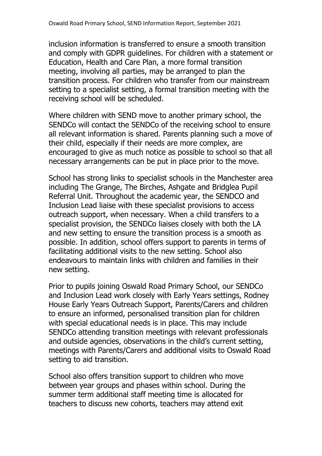inclusion information is transferred to ensure a smooth transition and comply with GDPR guidelines. For children with a statement or Education, Health and Care Plan, a more formal transition meeting, involving all parties, may be arranged to plan the transition process. For children who transfer from our mainstream setting to a specialist setting, a formal transition meeting with the receiving school will be scheduled.

Where children with SEND move to another primary school, the SENDCo will contact the SENDCo of the receiving school to ensure all relevant information is shared. Parents planning such a move of their child, especially if their needs are more complex, are encouraged to give as much notice as possible to school so that all necessary arrangements can be put in place prior to the move.

School has strong links to specialist schools in the Manchester area including The Grange, The Birches, Ashgate and Bridglea Pupil Referral Unit. Throughout the academic year, the SENDCO and Inclusion Lead liaise with these specialist provisions to access outreach support, when necessary. When a child transfers to a specialist provision, the SENDCo liaises closely with both the LA and new setting to ensure the transition process is a smooth as possible. In addition, school offers support to parents in terms of facilitating additional visits to the new setting. School also endeavours to maintain links with children and families in their new setting.

Prior to pupils joining Oswald Road Primary School, our SENDCo and Inclusion Lead work closely with Early Years settings, Rodney House Early Years Outreach Support, Parents/Carers and children to ensure an informed, personalised transition plan for children with special educational needs is in place. This may include SENDCo attending transition meetings with relevant professionals and outside agencies, observations in the child's current setting, meetings with Parents/Carers and additional visits to Oswald Road setting to aid transition.

School also offers transition support to children who move between year groups and phases within school. During the summer term additional staff meeting time is allocated for teachers to discuss new cohorts, teachers may attend exit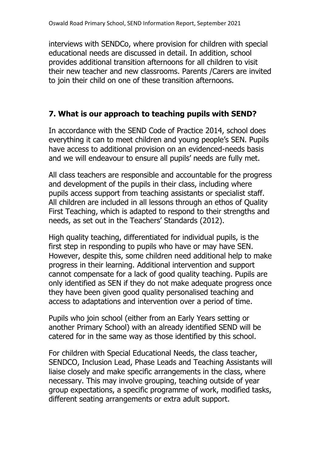interviews with SENDCo, where provision for children with special educational needs are discussed in detail. In addition, school provides additional transition afternoons for all children to visit their new teacher and new classrooms. Parents /Carers are invited to join their child on one of these transition afternoons.

# **7. What is our approach to teaching pupils with SEND?**

In accordance with the SEND Code of Practice 2014, school does everything it can to meet children and young people's SEN. Pupils have access to additional provision on an evidenced-needs basis and we will endeavour to ensure all pupils' needs are fully met.

All class teachers are responsible and accountable for the progress and development of the pupils in their class, including where pupils access support from teaching assistants or specialist staff. All children are included in all lessons through an ethos of Quality First Teaching, which is adapted to respond to their strengths and needs, as set out in the Teachers' Standards (2012).

High quality teaching, differentiated for individual pupils, is the first step in responding to pupils who have or may have SEN. However, despite this, some children need additional help to make progress in their learning. Additional intervention and support cannot compensate for a lack of good quality teaching. Pupils are only identified as SEN if they do not make adequate progress once they have been given good quality personalised teaching and access to adaptations and intervention over a period of time.

Pupils who join school (either from an Early Years setting or another Primary School) with an already identified SEND will be catered for in the same way as those identified by this school.

For children with Special Educational Needs, the class teacher, SENDCO, Inclusion Lead, Phase Leads and Teaching Assistants will liaise closely and make specific arrangements in the class, where necessary. This may involve grouping, teaching outside of year group expectations, a specific programme of work, modified tasks, different seating arrangements or extra adult support.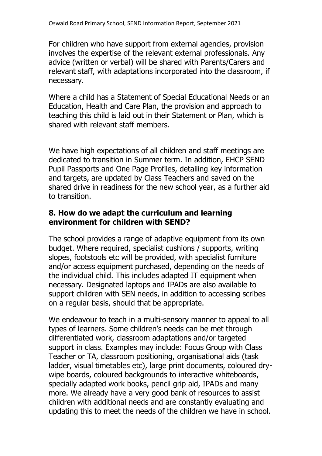For children who have support from external agencies, provision involves the expertise of the relevant external professionals. Any advice (written or verbal) will be shared with Parents/Carers and relevant staff, with adaptations incorporated into the classroom, if necessary.

Where a child has a Statement of Special Educational Needs or an Education, Health and Care Plan, the provision and approach to teaching this child is laid out in their Statement or Plan, which is shared with relevant staff members.

We have high expectations of all children and staff meetings are dedicated to transition in Summer term. In addition, EHCP SEND Pupil Passports and One Page Profiles, detailing key information and targets, are updated by Class Teachers and saved on the shared drive in readiness for the new school year, as a further aid to transition.

# **8. How do we adapt the curriculum and learning environment for children with SEND?**

The school provides a range of adaptive equipment from its own budget. Where required, specialist cushions / supports, writing slopes, footstools etc will be provided, with specialist furniture and/or access equipment purchased, depending on the needs of the individual child. This includes adapted IT equipment when necessary. Designated laptops and IPADs are also available to support children with SEN needs, in addition to accessing scribes on a regular basis, should that be appropriate.

We endeavour to teach in a multi-sensory manner to appeal to all types of learners. Some children's needs can be met through differentiated work, classroom adaptations and/or targeted support in class. Examples may include: Focus Group with Class Teacher or TA, classroom positioning, organisational aids (task ladder, visual timetables etc), large print documents, coloured drywipe boards, coloured backgrounds to interactive whiteboards, specially adapted work books, pencil grip aid, IPADs and many more. We already have a very good bank of resources to assist children with additional needs and are constantly evaluating and updating this to meet the needs of the children we have in school.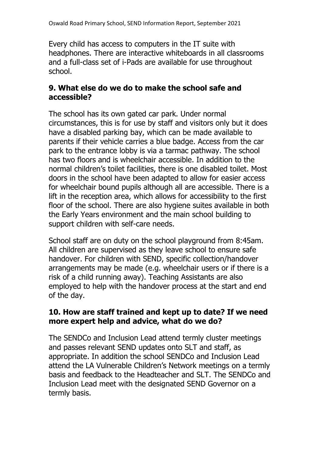Every child has access to computers in the IT suite with headphones. There are interactive whiteboards in all classrooms and a full-class set of i-Pads are available for use throughout school.

# **9. What else do we do to make the school safe and accessible?**

The school has its own gated car park. Under normal circumstances, this is for use by staff and visitors only but it does have a disabled parking bay, which can be made available to parents if their vehicle carries a blue badge. Access from the car park to the entrance lobby is via a tarmac pathway. The school has two floors and is wheelchair accessible. In addition to the normal children's toilet facilities, there is one disabled toilet. Most doors in the school have been adapted to allow for easier access for wheelchair bound pupils although all are accessible. There is a lift in the reception area, which allows for accessibility to the first floor of the school. There are also hygiene suites available in both the Early Years environment and the main school building to support children with self-care needs.

School staff are on duty on the school playground from 8:45am. All children are supervised as they leave school to ensure safe handover. For children with SEND, specific collection/handover arrangements may be made (e.g. wheelchair users or if there is a risk of a child running away). Teaching Assistants are also employed to help with the handover process at the start and end of the day.

# **10. How are staff trained and kept up to date? If we need more expert help and advice, what do we do?**

The SENDCo and Inclusion Lead attend termly cluster meetings and passes relevant SEND updates onto SLT and staff, as appropriate. In addition the school SENDCo and Inclusion Lead attend the LA Vulnerable Children's Network meetings on a termly basis and feedback to the Headteacher and SLT. The SENDCo and Inclusion Lead meet with the designated SEND Governor on a termly basis.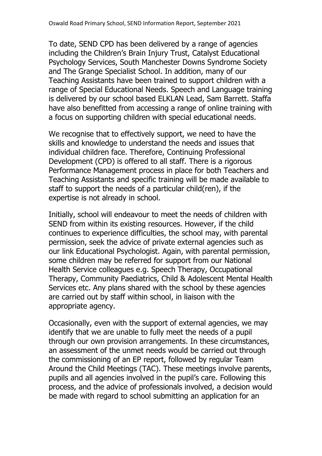To date, SEND CPD has been delivered by a range of agencies including the Children's Brain Injury Trust, Catalyst Educational Psychology Services, South Manchester Downs Syndrome Society and The Grange Specialist School. In addition, many of our Teaching Assistants have been trained to support children with a range of Special Educational Needs. Speech and Language training is delivered by our school based ELKLAN Lead, Sam Barrett. Staffa have also benefitted from accessing a range of online training with a focus on supporting children with special educational needs.

We recognise that to effectively support, we need to have the skills and knowledge to understand the needs and issues that individual children face. Therefore, Continuing Professional Development (CPD) is offered to all staff. There is a rigorous Performance Management process in place for both Teachers and Teaching Assistants and specific training will be made available to staff to support the needs of a particular child(ren), if the expertise is not already in school.

Initially, school will endeavour to meet the needs of children with SEND from within its existing resources. However, if the child continues to experience difficulties, the school may, with parental permission, seek the advice of private external agencies such as our link Educational Psychologist. Again, with parental permission, some children may be referred for support from our National Health Service colleagues e.g. Speech Therapy, Occupational Therapy, Community Paediatrics, Child & Adolescent Mental Health Services etc. Any plans shared with the school by these agencies are carried out by staff within school, in liaison with the appropriate agency.

Occasionally, even with the support of external agencies, we may identify that we are unable to fully meet the needs of a pupil through our own provision arrangements. In these circumstances, an assessment of the unmet needs would be carried out through the commissioning of an EP report, followed by regular Team Around the Child Meetings (TAC). These meetings involve parents, pupils and all agencies involved in the pupil's care. Following this process, and the advice of professionals involved, a decision would be made with regard to school submitting an application for an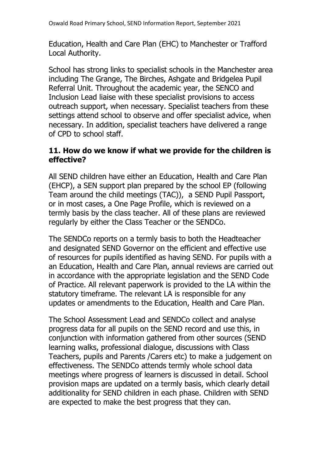Education, Health and Care Plan (EHC) to Manchester or Trafford Local Authority.

School has strong links to specialist schools in the Manchester area including The Grange, The Birches, Ashgate and Bridgelea Pupil Referral Unit. Throughout the academic year, the SENCO and Inclusion Lead liaise with these specialist provisions to access outreach support, when necessary. Specialist teachers from these settings attend school to observe and offer specialist advice, when necessary. In addition, specialist teachers have delivered a range of CPD to school staff.

# **11. How do we know if what we provide for the children is effective?**

All SEND children have either an Education, Health and Care Plan (EHCP), a SEN support plan prepared by the school EP (following Team around the child meetings (TAC)), a SEND Pupil Passport, or in most cases, a One Page Profile, which is reviewed on a termly basis by the class teacher. All of these plans are reviewed regularly by either the Class Teacher or the SENDCo.

The SENDCo reports on a termly basis to both the Headteacher and designated SEND Governor on the efficient and effective use of resources for pupils identified as having SEND. For pupils with a an Education, Health and Care Plan, annual reviews are carried out in accordance with the appropriate legislation and the SEND Code of Practice. All relevant paperwork is provided to the LA within the statutory timeframe. The relevant LA is responsible for any updates or amendments to the Education, Health and Care Plan.

The School Assessment Lead and SENDCo collect and analyse progress data for all pupils on the SEND record and use this, in conjunction with information gathered from other sources (SEND learning walks, professional dialogue, discussions with Class Teachers, pupils and Parents /Carers etc) to make a judgement on effectiveness. The SENDCo attends termly whole school data meetings where progress of learners is discussed in detail. School provision maps are updated on a termly basis, which clearly detail additionality for SEND children in each phase. Children with SEND are expected to make the best progress that they can.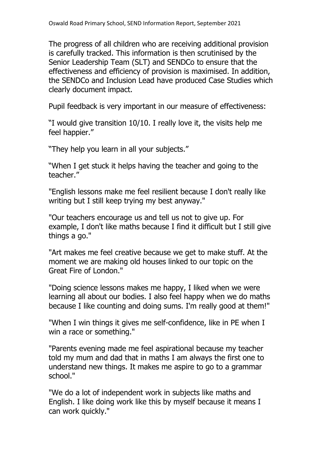The progress of all children who are receiving additional provision is carefully tracked. This information is then scrutinised by the Senior Leadership Team (SLT) and SENDCo to ensure that the effectiveness and efficiency of provision is maximised. In addition, the SENDCo and Inclusion Lead have produced Case Studies which clearly document impact.

Pupil feedback is very important in our measure of effectiveness:

"I would give transition 10/10. I really love it, the visits help me feel happier."

"They help you learn in all your subjects."

"When I get stuck it helps having the teacher and going to the teacher."

"English lessons make me feel resilient because I don't really like writing but I still keep trying my best anyway."

"Our teachers encourage us and tell us not to give up. For example, I don't like maths because I find it difficult but I still give things a go."

"Art makes me feel creative because we get to make stuff. At the moment we are making old houses linked to our topic on the Great Fire of London."

"Doing science lessons makes me happy, I liked when we were learning all about our bodies. I also feel happy when we do maths because I like counting and doing sums. I'm really good at them!"

"When I win things it gives me self-confidence, like in PE when I win a race or something."

"Parents evening made me feel aspirational because my teacher told my mum and dad that in maths I am always the first one to understand new things. It makes me aspire to go to a grammar school."

"We do a lot of independent work in subjects like maths and English. I like doing work like this by myself because it means I can work quickly."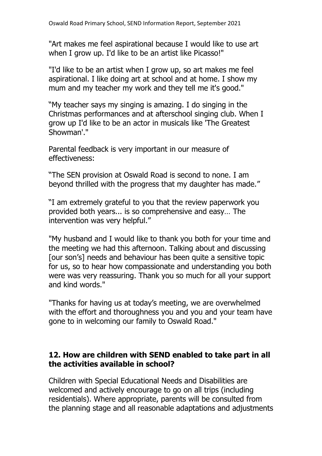"Art makes me feel aspirational because I would like to use art when I grow up. I'd like to be an artist like Picasso!"

"I'd like to be an artist when I grow up, so art makes me feel aspirational. I like doing art at school and at home. I show my mum and my teacher my work and they tell me it's good."

"My teacher says my singing is amazing. I do singing in the Christmas performances and at afterschool singing club. When I grow up I'd like to be an actor in musicals like 'The Greatest Showman'."

Parental feedback is very important in our measure of effectiveness:

"The SEN provision at Oswald Road is second to none. I am beyond thrilled with the progress that my daughter has made."

"I am extremely grateful to you that the review paperwork you provided both years... is so comprehensive and easy… The intervention was very helpful."

"My husband and I would like to thank you both for your time and the meeting we had this afternoon. Talking about and discussing [our son's] needs and behaviour has been quite a sensitive topic for us, so to hear how compassionate and understanding you both were was very reassuring. Thank you so much for all your support and kind words."

"Thanks for having us at today's meeting, we are overwhelmed with the effort and thoroughness you and you and your team have gone to in welcoming our family to Oswald Road."

# **12. How are children with SEND enabled to take part in all the activities available in school?**

Children with Special Educational Needs and Disabilities are welcomed and actively encourage to go on all trips (including residentials). Where appropriate, parents will be consulted from the planning stage and all reasonable adaptations and adjustments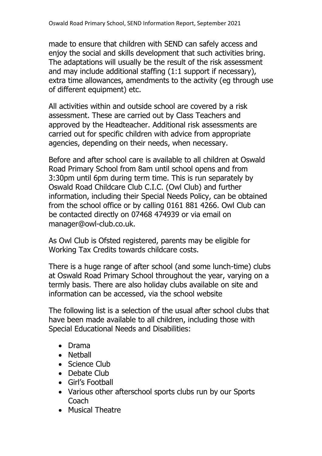made to ensure that children with SEND can safely access and enjoy the social and skills development that such activities bring. The adaptations will usually be the result of the risk assessment and may include additional staffing (1:1 support if necessary), extra time allowances, amendments to the activity (eg through use of different equipment) etc.

All activities within and outside school are covered by a risk assessment. These are carried out by Class Teachers and approved by the Headteacher. Additional risk assessments are carried out for specific children with advice from appropriate agencies, depending on their needs, when necessary.

Before and after school care is available to all children at Oswald Road Primary School from 8am until school opens and from 3:30pm until 6pm during term time. This is run separately by Oswald Road Childcare Club C.I.C. (Owl Club) and further information, including their Special Needs Policy, can be obtained from the school office or by calling 0161 881 4266. Owl Club can be contacted directly on 07468 474939 or via email on manager@owl-club.co.uk.

As Owl Club is Ofsted registered, parents may be eligible for Working Tax Credits towards childcare costs.

There is a huge range of after school (and some lunch-time) clubs at Oswald Road Primary School throughout the year, varying on a termly basis. There are also holiday clubs available on site and information can be accessed, via the school website

The following list is a selection of the usual after school clubs that have been made available to all children, including those with Special Educational Needs and Disabilities:

- Drama
- Netball
- Science Club
- Debate Club
- Girl's Football
- Various other afterschool sports clubs run by our Sports **Coach**
- Musical Theatre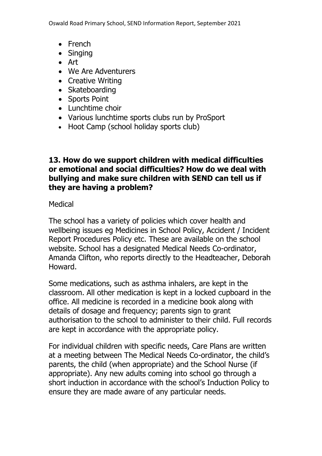Oswald Road Primary School, SEND Information Report, September 2021

- French
- Singing
- Art
- We Are Adventurers
- Creative Writing
- Skateboarding
- Sports Point
- Lunchtime choir
- Various lunchtime sports clubs run by ProSport
- Hoot Camp (school holiday sports club)

# **13. How do we support children with medical difficulties or emotional and social difficulties? How do we deal with bullying and make sure children with SEND can tell us if they are having a problem?**

Medical

The school has a variety of policies which cover health and wellbeing issues eg Medicines in School Policy, Accident / Incident Report Procedures Policy etc. These are available on the school website. School has a designated Medical Needs Co-ordinator, Amanda Clifton, who reports directly to the Headteacher, Deborah Howard.

Some medications, such as asthma inhalers, are kept in the classroom. All other medication is kept in a locked cupboard in the office. All medicine is recorded in a medicine book along with details of dosage and frequency; parents sign to grant authorisation to the school to administer to their child. Full records are kept in accordance with the appropriate policy.

For individual children with specific needs, Care Plans are written at a meeting between The Medical Needs Co-ordinator, the child's parents, the child (when appropriate) and the School Nurse (if appropriate). Any new adults coming into school go through a short induction in accordance with the school's Induction Policy to ensure they are made aware of any particular needs.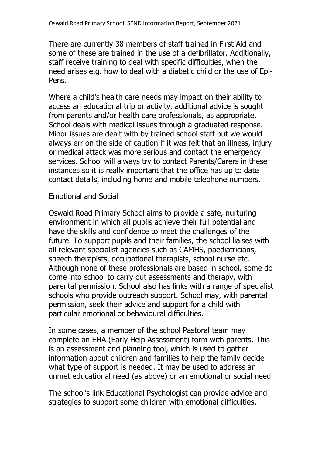There are currently 38 members of staff trained in First Aid and some of these are trained in the use of a defibrillator. Additionally, staff receive training to deal with specific difficulties, when the need arises e.g. how to deal with a diabetic child or the use of Epi-Pens.

Where a child's health care needs may impact on their ability to access an educational trip or activity, additional advice is sought from parents and/or health care professionals, as appropriate. School deals with medical issues through a graduated response. Minor issues are dealt with by trained school staff but we would always err on the side of caution if it was felt that an illness, injury or medical attack was more serious and contact the emergency services. School will always try to contact Parents/Carers in these instances so it is really important that the office has up to date contact details, including home and mobile telephone numbers.

#### Emotional and Social

Oswald Road Primary School aims to provide a safe, nurturing environment in which all pupils achieve their full potential and have the skills and confidence to meet the challenges of the future. To support pupils and their families, the school liaises with all relevant specialist agencies such as CAMHS, paediatricians, speech therapists, occupational therapists, school nurse etc. Although none of these professionals are based in school, some do come into school to carry out assessments and therapy, with parental permission. School also has links with a range of specialist schools who provide outreach support. School may, with parental permission, seek their advice and support for a child with particular emotional or behavioural difficulties.

In some cases, a member of the school Pastoral team may complete an EHA (Early Help Assessment) form with parents. This is an assessment and planning tool, which is used to gather information about children and families to help the family decide what type of support is needed. It may be used to address an unmet educational need (as above) or an emotional or social need.

The school's link Educational Psychologist can provide advice and strategies to support some children with emotional difficulties.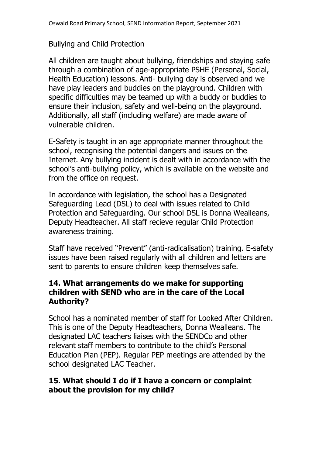# Bullying and Child Protection

All children are taught about bullying, friendships and staying safe through a combination of age-appropriate PSHE (Personal, Social, Health Education) lessons. Anti- bullying day is observed and we have play leaders and buddies on the playground. Children with specific difficulties may be teamed up with a buddy or buddies to ensure their inclusion, safety and well-being on the playground. Additionally, all staff (including welfare) are made aware of vulnerable children.

E-Safety is taught in an age appropriate manner throughout the school, recognising the potential dangers and issues on the Internet. Any bullying incident is dealt with in accordance with the school's anti-bullying policy, which is available on the website and from the office on request.

In accordance with legislation, the school has a Designated Safeguarding Lead (DSL) to deal with issues related to Child Protection and Safeguarding. Our school DSL is Donna Wealleans, Deputy Headteacher. All staff recieve regular Child Protection awareness training.

Staff have received "Prevent" (anti-radicalisation) training. E-safety issues have been raised regularly with all children and letters are sent to parents to ensure children keep themselves safe.

# **14. What arrangements do we make for supporting children with SEND who are in the care of the Local Authority?**

School has a nominated member of staff for Looked After Children. This is one of the Deputy Headteachers, Donna Wealleans. The designated LAC teachers liaises with the SENDCo and other relevant staff members to contribute to the child's Personal Education Plan (PEP). Regular PEP meetings are attended by the school designated LAC Teacher.

# **15. What should I do if I have a concern or complaint about the provision for my child?**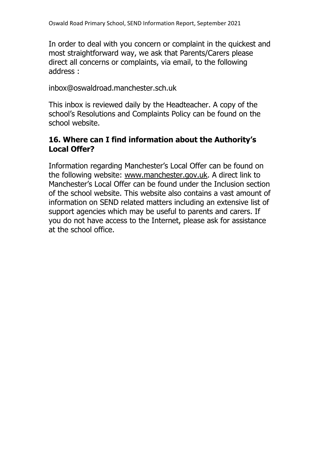In order to deal with you concern or complaint in the quickest and most straightforward way, we ask that Parents/Carers please direct all concerns or complaints, via email, to the following address :

inbox@oswaldroad.manchester.sch.uk

This inbox is reviewed daily by the Headteacher. A copy of the school's Resolutions and Complaints Policy can be found on the school website.

# **16. Where can I find information about the Authority's Local Offer?**

Information regarding Manchester's Local Offer can be found on the following website: www.manchester.gov.uk. A direct link to Manchester's Local Offer can be found under the Inclusion section of the school website. This website also contains a vast amount of information on SEND related matters including an extensive list of support agencies which may be useful to parents and carers. If you do not have access to the Internet, please ask for assistance at the school office.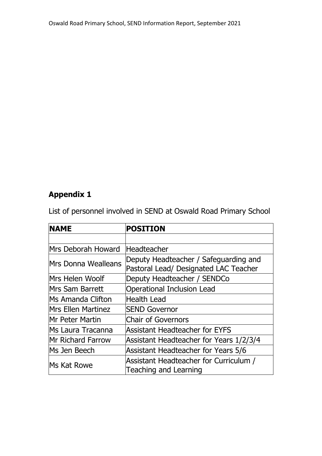# **Appendix 1**

List of personnel involved in SEND at Oswald Road Primary School

| <b>NAME</b>               | <b>POSITION</b>                                                                |
|---------------------------|--------------------------------------------------------------------------------|
|                           |                                                                                |
| Mrs Deborah Howard        | Headteacher                                                                    |
| Mrs Donna Wealleans       | Deputy Headteacher / Safeguarding and<br>Pastoral Lead/ Designated LAC Teacher |
| Mrs Helen Woolf           | Deputy Headteacher / SENDCo                                                    |
| Mrs Sam Barrett           | <b>Operational Inclusion Lead</b>                                              |
| <b>Ms Amanda Clifton</b>  | Health Lead                                                                    |
| <b>Mrs Ellen Martinez</b> | <b>SEND Governor</b>                                                           |
| <b>Mr Peter Martin</b>    | <b>Chair of Governors</b>                                                      |
| Ms Laura Tracanna         | <b>Assistant Headteacher for EYFS</b>                                          |
| <b>Mr Richard Farrow</b>  | Assistant Headteacher for Years 1/2/3/4                                        |
| Ms Jen Beech              | Assistant Headteacher for Years 5/6                                            |
| Ms Kat Rowe               | Assistant Headteacher for Curriculum /<br><b>Teaching and Learning</b>         |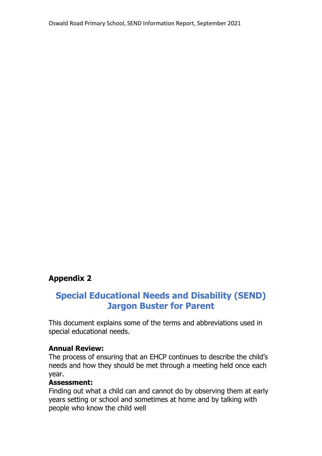# **Appendix 2**

# **Special Educational Needs and Disability (SEND) Jargon Buster for Parent**

This document explains some of the terms and abbreviations used in special educational needs.

#### **Annual Review:**

The process of ensuring that an EHCP continues to describe the child's needs and how they should be met through a meeting held once each year.

#### **Assessment:**

Finding out what a child can and cannot do by observing them at early years setting or school and sometimes at home and by talking with people who know the child well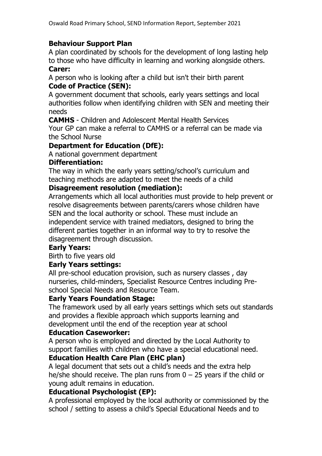#### **Behaviour Support Plan**

A plan coordinated by schools for the development of long lasting help to those who have difficulty in learning and working alongside others. **Carer:**

A person who is looking after a child but isn't their birth parent **Code of Practice (SEN):**

A government document that schools, early years settings and local authorities follow when identifying children with SEN and meeting their needs

**CAMHS** - Children and Adolescent Mental Health Services Your GP can make a referral to CAMHS or a referral can be made via the School Nurse

# **Department for Education (DfE):**

A national government department

#### **Differentiation:**

The way in which the early years setting/school's curriculum and teaching methods are adapted to meet the needs of a child

#### **Disagreement resolution (mediation):**

Arrangements which all local authorities must provide to help prevent or resolve disagreements between parents/carers whose children have SEN and the local authority or school. These must include an independent service with trained mediators, designed to bring the different parties together in an informal way to try to resolve the disagreement through discussion.

#### **Early Years:**

Birth to five years old

#### **Early Years settings:**

All pre-school education provision, such as nursery classes , day nurseries, child-minders, Specialist Resource Centres including Preschool Special Needs and Resource Team.

#### **Early Years Foundation Stage:**

The framework used by all early years settings which sets out standards and provides a flexible approach which supports learning and development until the end of the reception year at school

#### **Education Caseworker:**

A person who is employed and directed by the Local Authority to support families with children who have a special educational need.

# **Education Health Care Plan (EHC plan)**

A legal document that sets out a child's needs and the extra help he/she should receive. The plan runs from  $0 - 25$  years if the child or young adult remains in education.

#### **Educational Psychologist (EP):**

A professional employed by the local authority or commissioned by the school / setting to assess a child's Special Educational Needs and to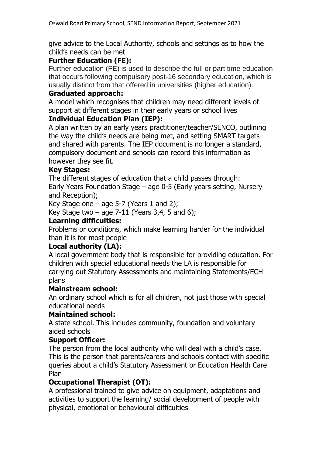give advice to the Local Authority, schools and settings as to how the child's needs can be met

# **Further Education (FE):**

Further education (FE) is used to describe the full or part time education that occurs following compulsory post-16 secondary education, which is usually distinct from that offered in universities (higher education).

#### **Graduated approach:**

A model which recognises that children may need different levels of support at different stages in their early years or school lives

#### **Individual Education Plan (IEP):**

A plan written by an early years practitioner/teacher/SENCO, outlining the way the child's needs are being met, and setting SMART targets and shared with parents. The IEP document is no longer a standard, compulsory document and schools can record this information as however they see fit.

#### **Key Stages:**

The different stages of education that a child passes through:

Early Years Foundation Stage – age 0-5 (Early years setting, Nursery and Reception);

Key Stage one  $-$  age 5-7 (Years 1 and 2);

Key Stage two  $-$  age 7-11 (Years 3,4, 5 and 6);

#### **Learning difficulties:**

Problems or conditions, which make learning harder for the individual than it is for most people

# **Local authority (LA):**

A local government body that is responsible for providing education. For children with special educational needs the LA is responsible for carrying out Statutory Assessments and maintaining Statements/ECH plans

#### **Mainstream school:**

An ordinary school which is for all children, not just those with special educational needs

#### **Maintained school:**

A state school. This includes community, foundation and voluntary aided schools

#### **Support Officer:**

The person from the local authority who will deal with a child's case. This is the person that parents/carers and schools contact with specific queries about a child's Statutory Assessment or Education Health Care Plan

#### **Occupational Therapist (OT):**

A professional trained to give advice on equipment, adaptations and activities to support the learning/ social development of people with physical, emotional or behavioural difficulties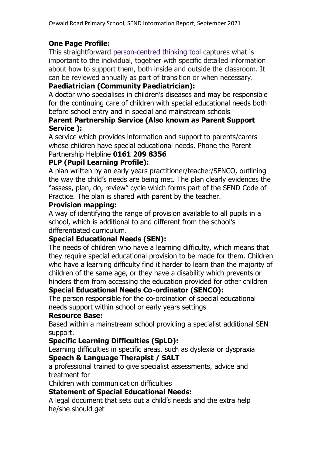# **One Page Profile:**

This straightforward [person-centred thinking tool](http://www.personalisingeducation.org/?page_id=29) captures what is important to the individual, together with specific detailed information about how to support them, both inside and outside the classroom. It can be reviewed annually as part of transition or when necessary.

#### **Paediatrician (Community Paediatrician):**

A doctor who specialises in children's diseases and may be responsible for the continuing care of children with special educational needs both before school entry and in special and mainstream schools

#### **Parent Partnership Service (Also known as Parent Support Service ):**

A service which provides information and support to parents/carers whose children have special educational needs. Phone the Parent Partnership Helpline **0161 209 8356**

# **PLP (Pupil Learning Profile):**

A plan written by an early years practitioner/teacher/SENCO, outlining the way the child's needs are being met. The plan clearly evidences the "assess, plan, do, review" cycle which forms part of the SEND Code of Practice. The plan is shared with parent by the teacher.

#### **Provision mapping:**

A way of identifying the range of provision available to all pupils in a school, which is additional to and different from the school's differentiated curriculum.

#### **Special Educational Needs (SEN):**

The needs of children who have a learning difficulty, which means that they require special educational provision to be made for them. Children who have a learning difficulty find it harder to learn than the majority of children of the same age, or they have a disability which prevents or hinders them from accessing the education provided for other children

#### **Special Educational Needs Co-ordinator (SENCO):**

The person responsible for the co-ordination of special educational needs support within school or early years settings

#### **Resource Base:**

Based within a mainstream school providing a specialist additional SEN support.

# **Specific Learning Difficulties (SpLD):**

Learning difficulties in specific areas, such as dyslexia or dyspraxia **Speech & Language Therapist / SALT**

a professional trained to give specialist assessments, advice and treatment for

Children with communication difficulties

#### **Statement of Special Educational Needs:**

A legal document that sets out a child's needs and the extra help he/she should get